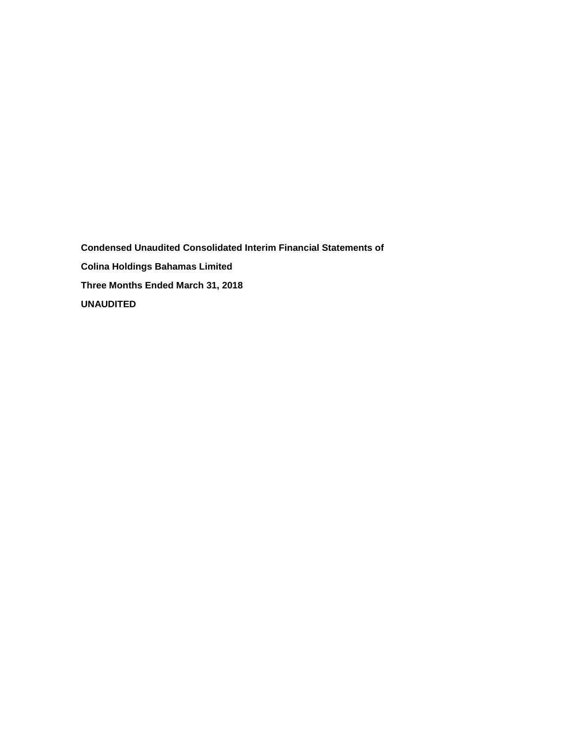**Condensed Unaudited Consolidated Interim Financial Statements of Colina Holdings Bahamas Limited Three Months Ended March 31, 2018 UNAUDITED**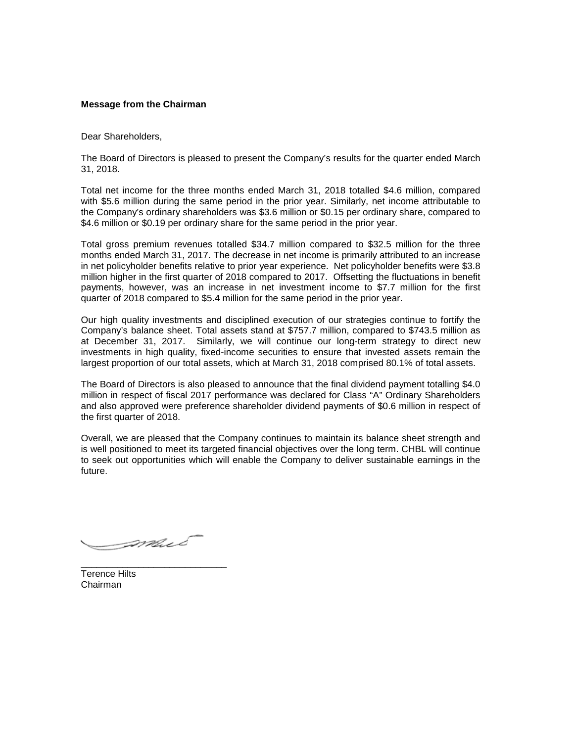## **Message from the Chairman**

Dear Shareholders,

The Board of Directors is pleased to present the Company's results for the quarter ended March 31, 2018.

Total net income for the three months ended March 31, 2018 totalled \$4.6 million, compared with \$5.6 million during the same period in the prior year. Similarly, net income attributable to the Company's ordinary shareholders was \$3.6 million or \$0.15 per ordinary share, compared to \$4.6 million or \$0.19 per ordinary share for the same period in the prior year.

Total gross premium revenues totalled \$34.7 million compared to \$32.5 million for the three months ended March 31, 2017. The decrease in net income is primarily attributed to an increase in net policyholder benefits relative to prior year experience. Net policyholder benefits were \$3.8 million higher in the first quarter of 2018 compared to 2017. Offsetting the fluctuations in benefit payments, however, was an increase in net investment income to \$7.7 million for the first quarter of 2018 compared to \$5.4 million for the same period in the prior year.

Our high quality investments and disciplined execution of our strategies continue to fortify the Company's balance sheet. Total assets stand at \$757.7 million, compared to \$743.5 million as at December 31, 2017. Similarly, we will continue our long-term strategy to direct new investments in high quality, fixed-income securities to ensure that invested assets remain the largest proportion of our total assets, which at March 31, 2018 comprised 80.1% of total assets.

The Board of Directors is also pleased to announce that the final dividend payment totalling \$4.0 million in respect of fiscal 2017 performance was declared for Class "A" Ordinary Shareholders and also approved were preference shareholder dividend payments of \$0.6 million in respect of the first quarter of 2018.

Overall, we are pleased that the Company continues to maintain its balance sheet strength and is well positioned to meet its targeted financial objectives over the long term. CHBL will continue to seek out opportunities which will enable the Company to deliver sustainable earnings in the future.

*Smul* 

\_\_\_\_\_\_\_\_\_\_\_\_\_\_\_\_\_\_\_\_\_\_\_\_\_\_\_\_

Terence Hilts Chairman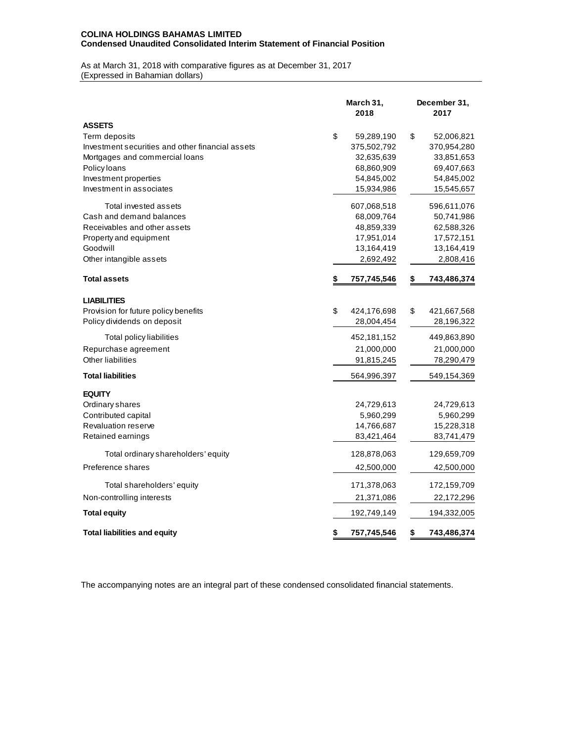## **COLINA HOLDINGS BAHAMAS LIMITED Condensed Unaudited Consolidated Interim Statement of Financial Position**

As at March 31, 2018 with comparative figures as at December 31, 2017 (Expressed in Bahamian dollars)

|                                                  | March 31,<br>2018 |             | December 31,<br>2017 |             |  |  |
|--------------------------------------------------|-------------------|-------------|----------------------|-------------|--|--|
| <b>ASSETS</b>                                    |                   |             |                      |             |  |  |
| Term deposits                                    | \$                | 59,289,190  | \$                   | 52,006,821  |  |  |
| Investment securities and other financial assets |                   | 375,502,792 |                      | 370,954,280 |  |  |
| Mortgages and commercial loans                   |                   | 32,635,639  |                      | 33,851,653  |  |  |
| Policy loans                                     |                   | 68,860,909  |                      | 69,407,663  |  |  |
| Investment properties                            |                   | 54,845,002  |                      | 54,845,002  |  |  |
| Investment in associates                         |                   | 15,934,986  |                      | 15,545,657  |  |  |
| Total invested assets                            |                   | 607,068,518 |                      | 596,611,076 |  |  |
| Cash and demand balances                         |                   | 68,009,764  |                      | 50,741,986  |  |  |
| Receivables and other assets                     |                   | 48,859,339  |                      | 62,588,326  |  |  |
| Property and equipment                           |                   | 17,951,014  |                      | 17,572,151  |  |  |
| Goodwill                                         |                   | 13,164,419  |                      | 13,164,419  |  |  |
| Other intangible assets                          |                   | 2,692,492   |                      | 2,808,416   |  |  |
| <b>Total assets</b>                              | \$                | 757,745,546 | \$                   | 743,486,374 |  |  |
| <b>LIABILITIES</b>                               |                   |             |                      |             |  |  |
| Provision for future policy benefits             | \$                | 424,176,698 | \$                   | 421,667,568 |  |  |
| Policy dividends on deposit                      |                   | 28,004,454  |                      | 28,196,322  |  |  |
| Total policy liabilities                         |                   | 452,181,152 |                      | 449,863,890 |  |  |
| Repurchase agreement                             |                   | 21,000,000  |                      | 21,000,000  |  |  |
| Other liabilities                                |                   | 91,815,245  |                      | 78,290,479  |  |  |
| <b>Total liabilities</b>                         |                   | 564,996,397 |                      | 549,154,369 |  |  |
| <b>EQUITY</b>                                    |                   |             |                      |             |  |  |
| Ordinary shares                                  |                   | 24,729,613  |                      | 24,729,613  |  |  |
| Contributed capital                              |                   | 5,960,299   |                      | 5,960,299   |  |  |
| <b>Revaluation reserve</b>                       |                   | 14,766,687  |                      | 15,228,318  |  |  |
| Retained earnings                                |                   | 83,421,464  |                      | 83,741,479  |  |  |
| Total ordinary shareholders' equity              |                   | 128,878,063 |                      | 129,659,709 |  |  |
| Preference shares                                |                   | 42,500,000  |                      | 42,500,000  |  |  |
| Total shareholders' equity                       |                   | 171,378,063 |                      | 172,159,709 |  |  |
| Non-controlling interests                        |                   | 21,371,086  |                      | 22,172,296  |  |  |
| <b>Total equity</b>                              |                   | 192,749,149 |                      | 194,332,005 |  |  |
| <b>Total liabilities and equity</b>              | \$                | 757,745,546 | \$                   | 743,486,374 |  |  |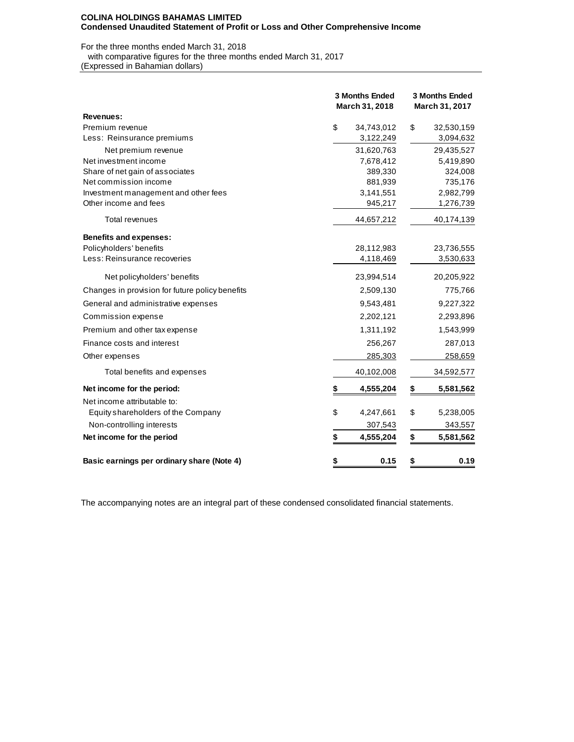### **COLINA HOLDINGS BAHAMAS LIMITED Condensed Unaudited Statement of Profit or Loss and Other Comprehensive Income**

## For the three months ended March 31, 2018

with comparative figures for the three months ended March 31, 2017

(Expressed in Bahamian dollars)

|                                                 | 3 Months Ended<br>March 31, 2018 |            | 3 Months Ended<br>March 31, 2017 |            |  |  |  |
|-------------------------------------------------|----------------------------------|------------|----------------------------------|------------|--|--|--|
| Revenues:                                       |                                  |            |                                  |            |  |  |  |
| Premium revenue                                 | \$                               | 34,743,012 | \$                               | 32,530,159 |  |  |  |
| Less: Reinsurance premiums                      |                                  | 3,122,249  |                                  | 3,094,632  |  |  |  |
| Net premium revenue                             |                                  | 31,620,763 |                                  | 29,435,527 |  |  |  |
| Net investment income                           |                                  | 7,678,412  |                                  | 5,419,890  |  |  |  |
| Share of net gain of associates                 |                                  | 389,330    |                                  | 324,008    |  |  |  |
| Net commission income                           |                                  | 881,939    |                                  | 735,176    |  |  |  |
| Investment management and other fees            |                                  | 3,141,551  |                                  | 2,982,799  |  |  |  |
| Other income and fees                           |                                  | 945,217    |                                  | 1,276,739  |  |  |  |
| Total revenues                                  |                                  | 44,657,212 |                                  | 40,174,139 |  |  |  |
| <b>Benefits and expenses:</b>                   |                                  |            |                                  |            |  |  |  |
| Policyholders' benefits                         |                                  | 28,112,983 |                                  | 23,736,555 |  |  |  |
| Less: Reinsurance recoveries                    |                                  | 4,118,469  |                                  | 3,530,633  |  |  |  |
| Net policyholders' benefits                     |                                  | 23,994,514 |                                  | 20,205,922 |  |  |  |
| Changes in provision for future policy benefits |                                  | 2,509,130  |                                  | 775,766    |  |  |  |
| General and administrative expenses             |                                  | 9,543,481  |                                  | 9,227,322  |  |  |  |
| Commission expense                              |                                  | 2,202,121  |                                  | 2,293,896  |  |  |  |
| Premium and other tax expense                   |                                  | 1,311,192  |                                  | 1,543,999  |  |  |  |
| Finance costs and interest                      |                                  | 256,267    |                                  | 287,013    |  |  |  |
| Other expenses                                  |                                  | 285,303    |                                  | 258,659    |  |  |  |
| Total benefits and expenses                     |                                  | 40,102,008 |                                  | 34,592,577 |  |  |  |
| Net income for the period:                      |                                  | 4,555,204  | \$                               | 5,581,562  |  |  |  |
| Net income attributable to:                     |                                  |            |                                  |            |  |  |  |
| Equity shareholders of the Company              | \$                               | 4,247,661  | \$                               | 5,238,005  |  |  |  |
| Non-controlling interests                       |                                  | 307,543    |                                  | 343,557    |  |  |  |
| Net income for the period                       | \$                               | 4,555,204  | \$                               | 5,581,562  |  |  |  |
| Basic earnings per ordinary share (Note 4)      | \$                               | 0.15       | \$                               | 0.19       |  |  |  |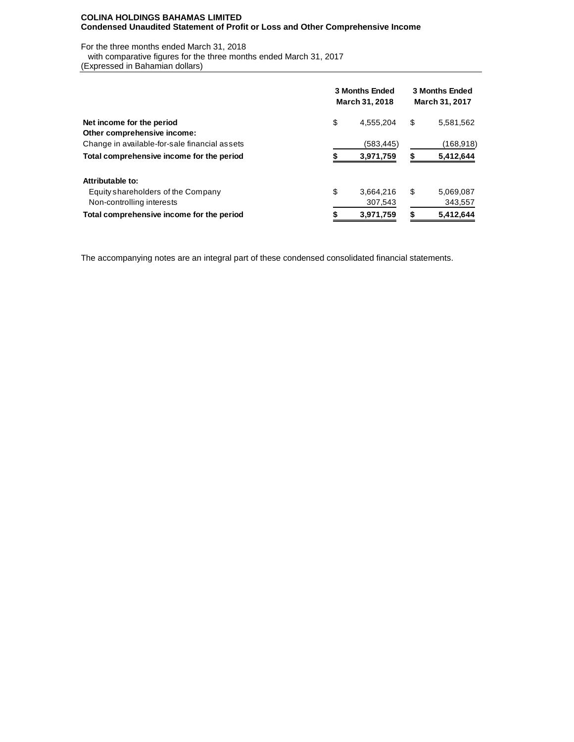### **COLINA HOLDINGS BAHAMAS LIMITED Condensed Unaudited Statement of Profit or Loss and Other Comprehensive Income**

For the three months ended March 31, 2018

with comparative figures for the three months ended March 31, 2017

(Expressed in Bahamian dollars)

|                                               | <b>3 Months Ended</b><br>March 31, 2018 |            |           | <b>3 Months Ended</b><br>March 31, 2017 |  |  |  |
|-----------------------------------------------|-----------------------------------------|------------|-----------|-----------------------------------------|--|--|--|
| Net income for the period                     | \$                                      | 4,555,204  | \$        | 5,581,562                               |  |  |  |
| Other comprehensive income:                   |                                         |            |           |                                         |  |  |  |
| Change in available-for-sale financial assets |                                         | (583, 445) |           | (168, 918)                              |  |  |  |
| Total comprehensive income for the period     |                                         | 3,971,759  |           | 5,412,644                               |  |  |  |
| Attributable to:                              |                                         |            |           |                                         |  |  |  |
| Equity shareholders of the Company            | \$                                      | 3,664,216  | \$        | 5,069,087                               |  |  |  |
| Non-controlling interests                     |                                         | 307,543    |           | 343,557                                 |  |  |  |
| Total comprehensive income for the period     |                                         | S          | 5,412,644 |                                         |  |  |  |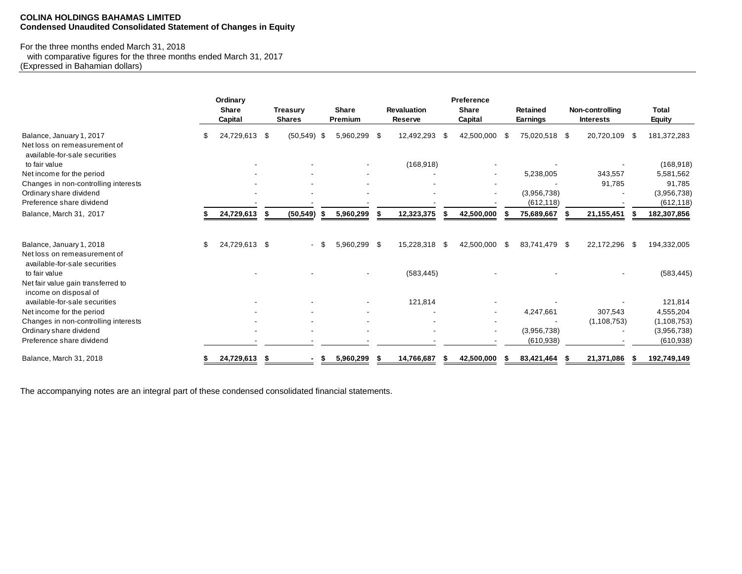### **COLINA HOLDINGS BAHAMAS LIMITED Condensed Unaudited Consolidated Statement of Changes in Equity**

# For the three months ended March 31, 2018

 with comparative figures for the three months ended March 31, 2017 (Expressed in Bahamian dollars)

|                                                                                           | Ordinary<br><b>Share</b><br>Capital |   | <b>Treasury</b><br><b>Shares</b> |      | <b>Share</b><br>Premium | <b>Revaluation</b><br><b>Reserve</b> |      | Preference<br><b>Share</b><br>Capital | <b>Retained</b><br>Earnings | Non-controlling<br><b>Interests</b> |      | <b>Total</b><br>Equity |
|-------------------------------------------------------------------------------------------|-------------------------------------|---|----------------------------------|------|-------------------------|--------------------------------------|------|---------------------------------------|-----------------------------|-------------------------------------|------|------------------------|
| Balance, January 1, 2017<br>Net loss on remeasurement of<br>available-for-sale securities | 24,729,613 \$                       |   | $(50, 549)$ \$                   |      | 5,960,299 \$            | 12,492,293                           | - \$ | 42,500,000 \$                         | 75,020,518 \$               | 20,720,109                          | - \$ | 181,372,283            |
| to fair value                                                                             |                                     |   |                                  |      |                         | (168, 918)                           |      |                                       |                             |                                     |      | (168, 918)             |
| Net income for the period                                                                 |                                     |   |                                  |      |                         |                                      |      |                                       | 5,238,005                   | 343,557                             |      | 5,581,562              |
| Changes in non-controlling interests                                                      |                                     |   |                                  |      |                         |                                      |      |                                       |                             | 91,785                              |      | 91,785                 |
| Ordinary share dividend                                                                   |                                     |   |                                  |      |                         |                                      |      |                                       | (3,956,738)                 |                                     |      | (3,956,738)            |
| Preference share dividend                                                                 |                                     |   |                                  |      |                         |                                      |      |                                       | (612, 118)                  |                                     |      | (612, 118)             |
| Balance, March 31, 2017                                                                   | 24,729,613                          |   | (50, 549)                        | S    | 5,960,299               | 12,323,375                           |      | 42,500,000                            | 75,689,667                  | 21, 155, 451                        |      | 182,307,856            |
| Balance, January 1, 2018<br>Net loss on remeasurement of                                  | \$<br>24,729,613 \$                 |   |                                  |      | 5,960,299 \$            | 15,228,318                           | \$   | 42,500,000 \$                         | 83,741,479 \$               | 22,172,296                          | -\$  | 194,332,005            |
| available-for-sale securities<br>to fair value<br>Net fair value gain transferred to      |                                     |   |                                  |      |                         | (583, 445)                           |      |                                       |                             |                                     |      | (583, 445)             |
| income on disposal of<br>available-for-sale securities                                    |                                     |   |                                  |      |                         | 121,814                              |      |                                       |                             |                                     |      | 121,814                |
| Net income for the period                                                                 |                                     |   |                                  |      |                         |                                      |      |                                       | 4,247,661                   | 307,543                             |      | 4,555,204              |
| Changes in non-controlling interests                                                      |                                     |   |                                  |      |                         |                                      |      |                                       |                             | (1, 108, 753)                       |      | (1, 108, 753)          |
| Ordinary share dividend                                                                   |                                     |   |                                  |      |                         |                                      |      |                                       | (3.956.738)                 |                                     |      | (3,956,738)            |
| Preference share dividend                                                                 |                                     |   |                                  |      |                         |                                      |      |                                       | (610, 938)                  |                                     |      | (610, 938)             |
| Balance, March 31, 2018                                                                   | 24,729,613                          | S |                                  | - \$ | 5,960,299               | 14,766,687                           |      | 42,500,000                            | 83,421,464                  | 21,371,086                          |      | 192,749,149            |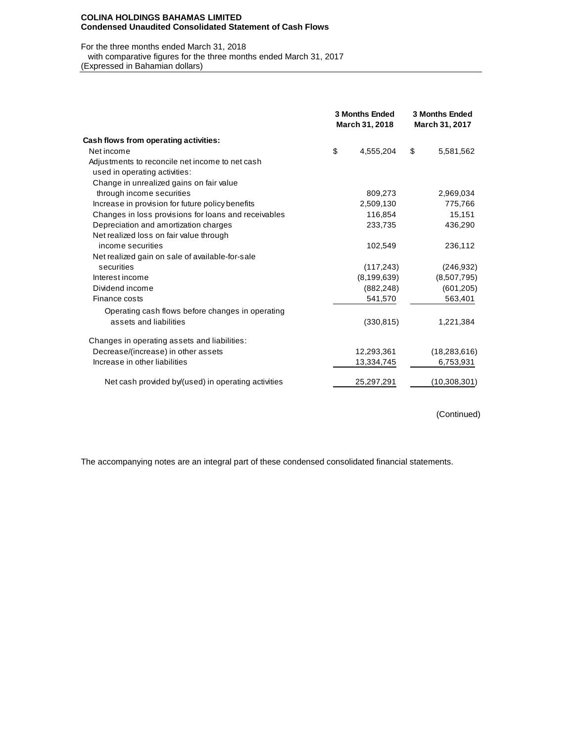#### **COLINA HOLDINGS BAHAMAS LIMITED Condensed Unaudited Consolidated Statement of Cash Flows**

For the three months ended March 31, 2018 with comparative figures for the three months ended March 31, 2017

(Expressed in Bahamian dollars)

|                                                      | <b>3 Months Ended</b><br>March 31, 2018 |               |    | <b>3 Months Ended</b><br>March 31, 2017 |
|------------------------------------------------------|-----------------------------------------|---------------|----|-----------------------------------------|
| Cash flows from operating activities:                |                                         |               |    |                                         |
| Net income                                           | \$                                      | 4,555,204     | \$ | 5,581,562                               |
| Adjustments to reconcile net income to net cash      |                                         |               |    |                                         |
| used in operating activities:                        |                                         |               |    |                                         |
| Change in unrealized gains on fair value             |                                         |               |    |                                         |
| through income securities                            |                                         | 809,273       |    | 2,969,034                               |
| Increase in provision for future policy benefits     |                                         | 2,509,130     |    | 775,766                                 |
| Changes in loss provisions for loans and receivables |                                         | 116,854       |    | 15,151                                  |
| Depreciation and amortization charges                |                                         | 233,735       |    | 436,290                                 |
| Net realized loss on fair value through              |                                         |               |    |                                         |
| income securities                                    |                                         | 102,549       |    | 236,112                                 |
| Net realized gain on sale of available-for-sale      |                                         |               |    |                                         |
| securities                                           |                                         | (117, 243)    |    | (246, 932)                              |
| Interest income                                      |                                         | (8, 199, 639) |    | (8,507,795)                             |
| Dividend income                                      |                                         | (882, 248)    |    | (601, 205)                              |
| Finance costs                                        |                                         | 541,570       |    | 563,401                                 |
| Operating cash flows before changes in operating     |                                         |               |    |                                         |
| assets and liabilities                               |                                         | (330, 815)    |    | 1,221,384                               |
| Changes in operating assets and liabilities:         |                                         |               |    |                                         |
| Decrease/(increase) in other assets                  |                                         | 12,293,361    |    | (18, 283, 616)                          |
| Increase in other liabilities                        |                                         | 13,334,745    |    | 6,753,931                               |
| Net cash provided by/(used) in operating activities  |                                         | 25,297,291    |    | (10,308,301)                            |

(Continued)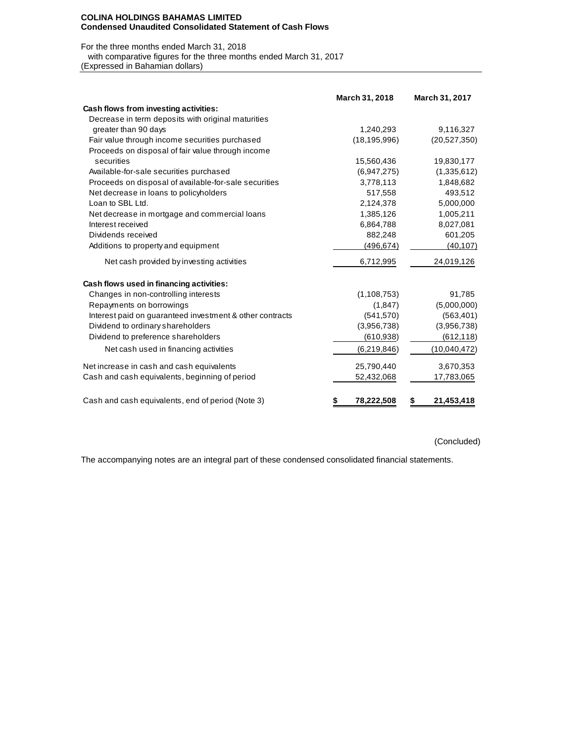#### **COLINA HOLDINGS BAHAMAS LIMITED Condensed Unaudited Consolidated Statement of Cash Flows**

For the three months ended March 31, 2018

with comparative figures for the three months ended March 31, 2017

(Expressed in Bahamian dollars)

|                                                          | March 31, 2018  | March 31, 2017  |
|----------------------------------------------------------|-----------------|-----------------|
| Cash flows from investing activities:                    |                 |                 |
| Decrease in term deposits with original maturities       |                 |                 |
| greater than 90 days                                     | 1,240,293       | 9,116,327       |
| Fair value through income securities purchased           | (18, 195, 996)  | (20,527,350)    |
| Proceeds on disposal of fair value through income        |                 |                 |
| securities                                               | 15,560,436      | 19,830,177      |
| Available-for-sale securities purchased                  | (6,947,275)     | (1,335,612)     |
| Proceeds on disposal of available-for-sale securities    | 3,778,113       | 1,848,682       |
| Net decrease in loans to policyholders                   | 517,558         | 493,512         |
| Loan to SBL Ltd.                                         | 2,124,378       | 5,000,000       |
| Net decrease in mortgage and commercial loans            | 1,385,126       | 1,005,211       |
| Interest received                                        | 6,864,788       | 8,027,081       |
| Dividends received                                       | 882,248         | 601,205         |
| Additions to property and equipment                      | (496, 674)      | (40, 107)       |
| Net cash provided by investing activities                | 6,712,995       | 24,019,126      |
| Cash flows used in financing activities:                 |                 |                 |
| Changes in non-controlling interests                     | (1, 108, 753)   | 91,785          |
| Repayments on borrowings                                 | (1, 847)        | (5,000,000)     |
| Interest paid on guaranteed investment & other contracts | (541, 570)      | (563, 401)      |
| Dividend to ordinary shareholders                        | (3,956,738)     | (3,956,738)     |
| Dividend to preference shareholders                      | (610, 938)      | (612, 118)      |
| Net cash used in financing activities                    | (6,219,846)     | (10,040,472)    |
| Net increase in cash and cash equivalents                | 25,790,440      | 3,670,353       |
| Cash and cash equivalents, beginning of period           | 52,432,068      | 17,783,065      |
| Cash and cash equivalents, end of period (Note 3)        | 78,222,508<br>S | 21,453,418<br>S |

(Concluded)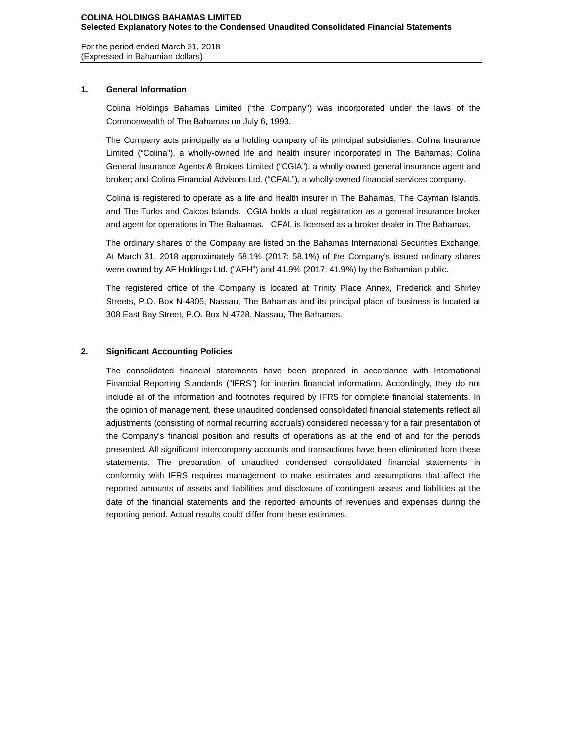For the period ended March 31, 2018 (Expressed in Bahamian dollars)

### **1. General Information**

Colina Holdings Bahamas Limited ("the Company") was incorporated under the laws of the Commonwealth of The Bahamas on July 6, 1993.

The Company acts principally as a holding company of its principal subsidiaries, Colina Insurance Limited ("Colina"), a wholly-owned life and health insurer incorporated in The Bahamas; Colina General Insurance Agents & Brokers Limited ("CGIA"), a wholly-owned general insurance agent and broker; and Colina Financial Advisors Ltd. ("CFAL"), a wholly-owned financial services company.

Colina is registered to operate as a life and health insurer in The Bahamas, The Cayman Islands, and The Turks and Caicos Islands. CGIA holds a dual registration as a general insurance broker and agent for operations in The Bahamas. CFAL is licensed as a broker dealer in The Bahamas.

The ordinary shares of the Company are listed on the Bahamas International Securities Exchange. At March 31, 2018 approximately 58.1% (2017: 58.1%) of the Company's issued ordinary shares were owned by AF Holdings Ltd. ("AFH") and 41.9% (2017: 41.9%) by the Bahamian public.

The registered office of the Company is located at Trinity Place Annex, Frederick and Shirley Streets, P.O. Box N-4805, Nassau, The Bahamas and its principal place of business is located at 308 East Bay Street, P.O. Box N-4728, Nassau, The Bahamas.

### **2. Significant Accounting Policies**

The consolidated financial statements have been prepared in accordance with International Financial Reporting Standards ("IFRS") for interim financial information. Accordingly, they do not include all of the information and footnotes required by IFRS for complete financial statements. In the opinion of management, these unaudited condensed consolidated financial statements reflect all adjustments (consisting of normal recurring accruals) considered necessary for a fair presentation of the Company's financial position and results of operations as at the end of and for the periods presented. All significant intercompany accounts and transactions have been eliminated from these statements. The preparation of unaudited condensed consolidated financial statements in conformity with IFRS requires management to make estimates and assumptions that affect the reported amounts of assets and liabilities and disclosure of contingent assets and liabilities at the date of the financial statements and the reported amounts of revenues and expenses during the reporting period. Actual results could differ from these estimates.